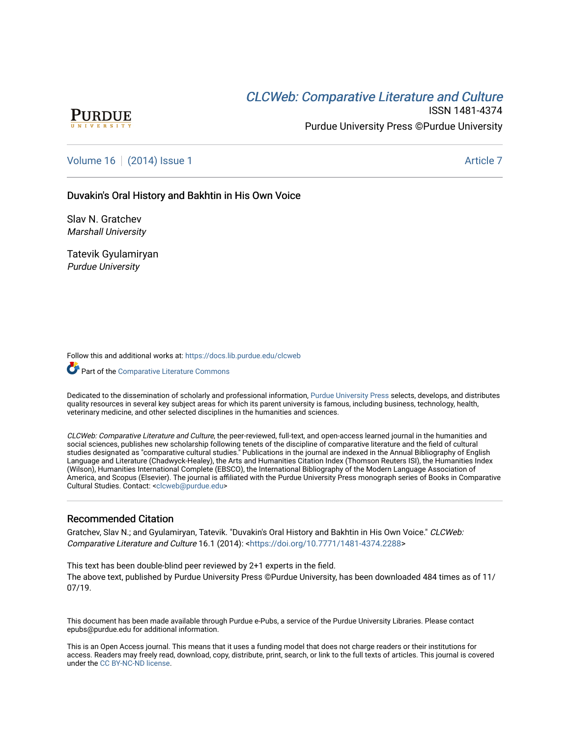# **CLCW[eb: Comparative Liter](https://docs.lib.purdue.edu/clcweb)ature and Culture**



ISSN 1481-4374 Purdue University Press ©Purdue University

# [Volume 16](https://docs.lib.purdue.edu/clcweb/vol16) | [\(2014\) Issue 1](https://docs.lib.purdue.edu/clcweb/vol16/iss1) Article 7

### Duvakin's Oral History and Bakhtin in His Own Voice

Slav N. Gratchev Marshall University

Tatevik Gyulamiryan Purdue University

Follow this and additional works at: [https://docs.lib.purdue.edu/clcweb](https://docs.lib.purdue.edu/clcweb?utm_source=docs.lib.purdue.edu%2Fclcweb%2Fvol16%2Fiss1%2F7&utm_medium=PDF&utm_campaign=PDFCoverPages)

Part of the [Comparative Literature Commons](http://network.bepress.com/hgg/discipline/454?utm_source=docs.lib.purdue.edu%2Fclcweb%2Fvol16%2Fiss1%2F7&utm_medium=PDF&utm_campaign=PDFCoverPages) 

Dedicated to the dissemination of scholarly and professional information, [Purdue University Press](http://www.thepress.purdue.edu/) selects, develops, and distributes quality resources in several key subject areas for which its parent university is famous, including business, technology, health, veterinary medicine, and other selected disciplines in the humanities and sciences.

CLCWeb: Comparative Literature and Culture, the peer-reviewed, full-text, and open-access learned journal in the humanities and social sciences, publishes new scholarship following tenets of the discipline of comparative literature and the field of cultural studies designated as "comparative cultural studies." Publications in the journal are indexed in the Annual Bibliography of English Language and Literature (Chadwyck-Healey), the Arts and Humanities Citation Index (Thomson Reuters ISI), the Humanities Index (Wilson), Humanities International Complete (EBSCO), the International Bibliography of the Modern Language Association of America, and Scopus (Elsevier). The journal is affiliated with the Purdue University Press monograph series of Books in Comparative Cultural Studies. Contact: [<clcweb@purdue.edu](mailto:clcweb@purdue.edu)>

### Recommended Citation

Gratchev, Slav N.; and Gyulamiryan, Tatevik. "Duvakin's Oral History and Bakhtin in His Own Voice." CLCWeb: Comparative Literature and Culture 16.1 (2014): <<https://doi.org/10.7771/1481-4374.2288>>

This text has been double-blind peer reviewed by 2+1 experts in the field. The above text, published by Purdue University Press ©Purdue University, has been downloaded 484 times as of 11/ 07/19.

This document has been made available through Purdue e-Pubs, a service of the Purdue University Libraries. Please contact epubs@purdue.edu for additional information.

This is an Open Access journal. This means that it uses a funding model that does not charge readers or their institutions for access. Readers may freely read, download, copy, distribute, print, search, or link to the full texts of articles. This journal is covered under the [CC BY-NC-ND license.](https://creativecommons.org/licenses/by-nc-nd/4.0/)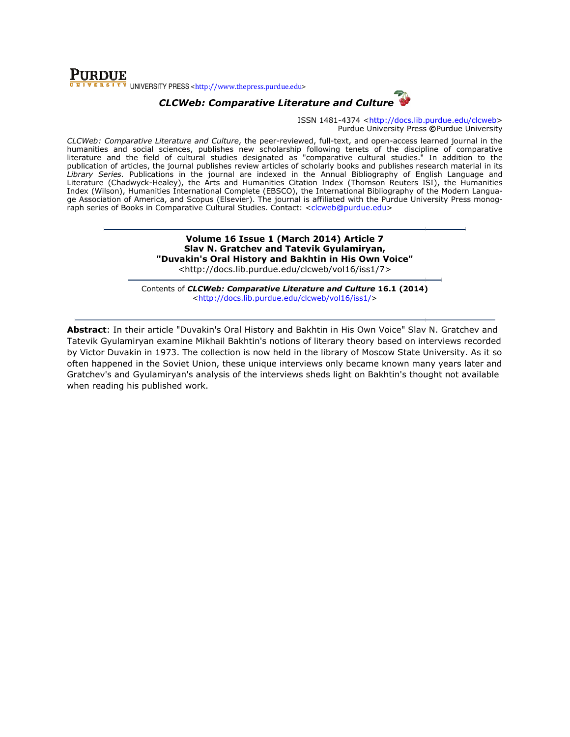### **PURDUE** UNIVERSITY PRESS <http://www.thepress.purdue.edu>

# CLCWeb: Comparative Literature and Culture

ISSN 1481-4374 <http://docs.lib.purdue.edu/clcweb> Purdue University Press ©Purdue University

CLCWeb: Comparative Literature and Culture, the peer-reviewed, full-text, and open-access learned journal in the humanities and social sciences, publishes new scholarship following tenets of the discipline of comparative *CLCWeb: Comparative Literature and Culture*, the peer-reviewed, full-text, and open-access learned journal in the<br>humanities and social sciences, publishes new scholarship following tenets of the discipline of comparative publication of articles, the journal publishes review articles of scholarly books and publishes research material in its Library Series. Publications in the journal are indexed in the Annual Bibliography of English Language and Literature (Chadwyck-Healey), the Arts and Humanities Citation Index (Thomson Reuters ISI), the Humanities Index (Wilson), Humanities International Complete (EBSCO), the International Bibliography of the Modern Langua Literature (Chadwyck-Healey), the Arts and Humanities Citation Index (Thomson Reuters ISI), the Humanities<br>Index (Wilson), Humanities International Complete (EBSCO), the International Bibliography of the Modern Langua-<br>ge raph series of Books in Comparative Cultural Studies. Contact: <clcweb@purdue.edu> ticles of scholarly books and publishes research material in its<br>exed in the Annual Bibliography of English Language and<br>ities Citation Index (Thomson Reuters ISI), the Humanities<br>EBSCO), the International Bibliography of

> Volume 16 16 Issue 1 (March 2014) Article 7 Slav N. Gratchev and Tatevik Gyulamiryan, "Duvakin's Oral History and Duvakin's Bakhtin in His Own Voice" <http://docs.li <http://docs.lib.purdue.edu/clcweb/vol16/iss1/7>

Contents of *CLCWeb: Comparative Literature and Culture* 16.1 (2014) <http://docs.lib.purdue.edu/clcweb/vol16/iss1/ http://docs.lib.purdue.edu/clcweb/vol16/iss1/>

Abstract: In their article "Duvakin's Oral History and Bakhtin in His Own Voice" Slav N. Gratchev and **Abstract**: In their article "Duvakin's Oral History and Bakhtin in His Own Voice" Slav N. Gratchev and<br>Tatevik Gyulamiryan examine Mikhail Bakhtin's notions of literary theory based on interviews recorded by Victor Duvakin in 1973. The collection is now held in the library of Moscow State University. As it so by Victor Duvakin in 1973. The collection is now held in the library of Moscow State University. As it so<br>often happened in the Soviet Union, these unique interviews only became known many years later and Gratchev's and Gyulamiryan's analysis of the interviews sheds light on Bakhtin's thought not available when reading his published work.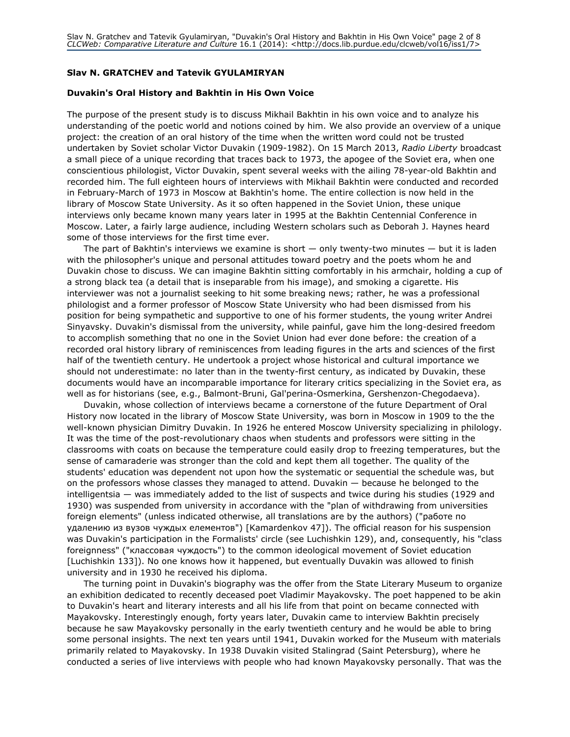#### Slav N. GRATCHEV and Tatevik GYULAMIRYAN

#### Duvakin's Oral History and Bakhtin in His Own Voice

The purpose of the present study is to discuss Mikhail Bakhtin in his own voice and to analyze his understanding of the poetic world and notions coined by him. We also provide an overview of a unique project: the creation of an oral history of the time when the written word could not be trusted undertaken by Soviet scholar Victor Duvakin (1909-1982). On 15 March 2013, Radio Liberty broadcast a small piece of a unique recording that traces back to 1973, the apogee of the Soviet era, when one conscientious philologist, Victor Duvakin, spent several weeks with the ailing 78-year-old Bakhtin and recorded him. The full eighteen hours of interviews with Mikhail Bakhtin were conducted and recorded in February-March of 1973 in Moscow at Bakhtin's home. The entire collection is now held in the library of Moscow State University. As it so often happened in the Soviet Union, these unique interviews only became known many years later in 1995 at the Bakhtin Centennial Conference in Moscow. Later, a fairly large audience, including Western scholars such as Deborah J. Haynes heard some of those interviews for the first time ever.

The part of Bakhtin's interviews we examine is short — only twenty-two minutes — but it is laden with the philosopher's unique and personal attitudes toward poetry and the poets whom he and Duvakin chose to discuss. We can imagine Bakhtin sitting comfortably in his armchair, holding a cup of a strong black tea (a detail that is inseparable from his image), and smoking a cigarette. His interviewer was not a journalist seeking to hit some breaking news; rather, he was a professional philologist and a former professor of Moscow State University who had been dismissed from his position for being sympathetic and supportive to one of his former students, the young writer Andrei Sinyavsky. Duvakin's dismissal from the university, while painful, gave him the long-desired freedom to accomplish something that no one in the Soviet Union had ever done before: the creation of a recorded oral history library of reminiscences from leading figures in the arts and sciences of the first half of the twentieth century. He undertook a project whose historical and cultural importance we should not underestimate: no later than in the twenty-first century, as indicated by Duvakin, these documents would have an incomparable importance for literary critics specializing in the Soviet era, as well as for historians (see, e.g., Balmont-Bruni, Gal'perina-Osmerkina, Gershenzon-Chegodaeva).

Duvakin, whose collection of interviews became a cornerstone of the future Department of Oral History now located in the library of Moscow State University, was born in Moscow in 1909 to the the well-known physician Dimitry Duvakin. In 1926 he entered Moscow University specializing in philology. It was the time of the post-revolutionary chaos when students and professors were sitting in the classrooms with coats on because the temperature could easily drop to freezing temperatures, but the sense of camaraderie was stronger than the cold and kept them all together. The quality of the students' education was dependent not upon how the systematic or sequential the schedule was, but on the professors whose classes they managed to attend. Duvakin — because he belonged to the intelligentsia — was immediately added to the list of suspects and twice during his studies (1929 and 1930) was suspended from university in accordance with the "plan of withdrawing from universities foreign elements" (unless indicated otherwise, all translations are by the authors) ("работе по удалению из вузов чуждых елементов") [Kamardenkov 47]). The official reason for his suspension was Duvakin's participation in the Formalists' circle (see Luchishkin 129), and, consequently, his "class foreignness" ("классовая чуждость") to the common ideological movement of Soviet education [Luchishkin 133]). No one knows how it happened, but eventually Duvakin was allowed to finish university and in 1930 he received his diploma.

The turning point in Duvakin's biography was the offer from the State Literary Museum to organize an exhibition dedicated to recently deceased poet Vladimir Mayakovsky. The poet happened to be akin to Duvakin's heart and literary interests and all his life from that point on became connected with Mayakovsky. Interestingly enough, forty years later, Duvakin came to interview Bakhtin precisely because he saw Mayakovsky personally in the early twentieth century and he would be able to bring some personal insights. The next ten years until 1941, Duvakin worked for the Museum with materials primarily related to Mayakovsky. In 1938 Duvakin visited Stalingrad (Saint Petersburg), where he conducted a series of live interviews with people who had known Mayakovsky personally. That was the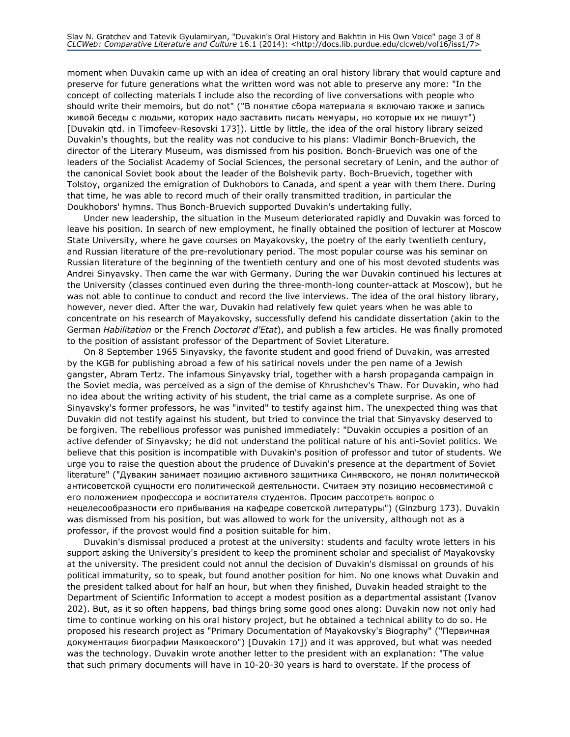moment when Duvakin came up with an idea of creating an oral history library that would capture and preserve for future generations what the written word was not able to preserve any more: "In the concept of collecting materials I include also the recording of live conversations with people who should write their memoirs, but do not" ("В понятие сбора материала я включаю также и запись живой беседы с людьми, которих надо заставить писать мемуары, но которые их не пишут") [Duvakin qtd. in Timofeev-Resovski 173]). Little by little, the idea of the oral history library seized Duvakin's thoughts, but the reality was not conducive to his plans: Vladimir Bonch-Bruevich, the director of the Literary Museum, was dismissed from his position. Bonch-Bruevich was one of the leaders of the Socialist Academy of Social Sciences, the personal secretary of Lenin, and the author of the canonical Soviet book about the leader of the Bolshevik party. Boch-Bruevich, together with Tolstoy, organized the emigration of Dukhobors to Canada, and spent a year with them there. During that time, he was able to record much of their orally transmitted tradition, in particular the Doukhobors' hymns. Thus Bonch-Bruevich supported Duvakin's undertaking fully.

Under new leadership, the situation in the Museum deteriorated rapidly and Duvakin was forced to leave his position. In search of new employment, he finally obtained the position of lecturer at Moscow State University, where he gave courses on Mayakovsky, the poetry of the early twentieth century, and Russian literature of the pre-revolutionary period. The most popular course was his seminar on Russian literature of the beginning of the twentieth century and one of his most devoted students was Andrei Sinyavsky. Then came the war with Germany. During the war Duvakin continued his lectures at the University (classes continued even during the three-month-long counter-attack at Moscow), but he was not able to continue to conduct and record the live interviews. The idea of the oral history library, however, never died. After the war, Duvakin had relatively few quiet years when he was able to concentrate on his research of Mayakovsky, successfully defend his candidate dissertation (akin to the German Habilitation or the French Doctorat d'Etat), and publish a few articles. He was finally promoted to the position of assistant professor of the Department of Soviet Literature.

On 8 September 1965 Sinyavsky, the favorite student and good friend of Duvakin, was arrested by the KGB for publishing abroad a few of his satirical novels under the pen name of a Jewish gangster, Abram Tertz. The infamous Sinyavsky trial, together with a harsh propaganda campaign in the Soviet media, was perceived as a sign of the demise of Khrushchev's Thaw. For Duvakin, who had no idea about the writing activity of his student, the trial came as a complete surprise. As one of Sinyavsky's former professors, he was "invited" to testify against him. The unexpected thing was that Duvakin did not testify against his student, but tried to convince the trial that Sinyavsky deserved to be forgiven. The rebellious professor was punished immediately: "Duvakin occupies a position of an active defender of Sinyavsky; he did not understand the political nature of his anti-Soviet politics. We believe that this position is incompatible with Duvakin's position of professor and tutor of students. We urge you to raise the question about the prudence of Duvakin's presence at the department of Soviet literature" ("Дувакин занимает позицию активного защитника Синявского, не понял политической антисоветской сущности его политической деятельности. Считаем эту позицию несовместимой с его положением профессора и воспитателя студентов. Просим рассотреть вопрос о нецелесообразности его прибывания на кафедре советской литературы") (Ginzburg 173). Duvakin was dismissed from his position, but was allowed to work for the university, although not as a professor, if the provost would find a position suitable for him.

Duvakin's dismissal produced a protest at the university: students and faculty wrote letters in his support asking the University's president to keep the prominent scholar and specialist of Mayakovsky at the university. The president could not annul the decision of Duvakin's dismissal on grounds of his political immaturity, so to speak, but found another position for him. No one knows what Duvakin and the president talked about for half an hour, but when they finished, Duvakin headed straight to the Department of Scientific Information to accept a modest position as a departmental assistant (Ivanov 202). But, as it so often happens, bad things bring some good ones along: Duvakin now not only had time to continue working on his oral history project, but he obtained a technical ability to do so. He proposed his research project as "Primary Documentation of Mayakovsky's Biography" ("Первичная документация биографии Маяковского") [Duvakin 17]) and it was approved, but what was needed was the technology. Duvakin wrote another letter to the president with an explanation: "The value that such primary documents will have in 10-20-30 years is hard to overstate. If the process of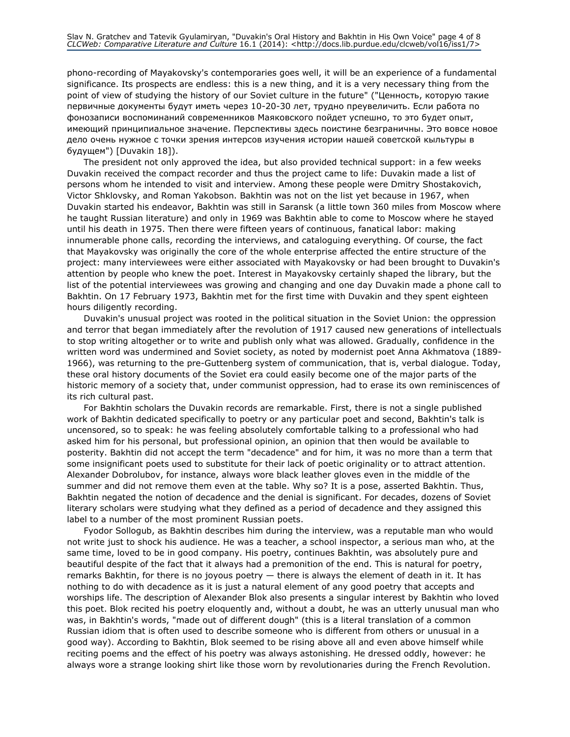phono-recording of Mayakovsky's contemporaries goes well, it will be an experience of a fundamental significance. Its prospects are endless: this is a new thing, and it is a very necessary thing from the point of view of studying the history of our Soviet culture in the future" ("Ценность, которую такие первичные документы будут иметь через 10-20-30 лет, трудно преувеличить. Если работа по фонозаписи воспоминаний современников Маяковского пойдет успешно, то это будет опыт, имеющий принципиальное значение. Перспективы здесь поистине безграничны. Это вовсе новое дело очень нужное с точки зрения интерсов изучения истории нашей советской кыльтуры в будущем") [Duvakin 18]).

The president not only approved the idea, but also provided technical support: in a few weeks Duvakin received the compact recorder and thus the project came to life: Duvakin made a list of persons whom he intended to visit and interview. Among these people were Dmitry Shostakovich, Victor Shklovsky, and Roman Yakobson. Bakhtin was not on the list yet because in 1967, when Duvakin started his endeavor, Bakhtin was still in Saransk (a little town 360 miles from Moscow where he taught Russian literature) and only in 1969 was Bakhtin able to come to Moscow where he stayed until his death in 1975. Then there were fifteen years of continuous, fanatical labor: making innumerable phone calls, recording the interviews, and cataloguing everything. Of course, the fact that Mayakovsky was originally the core of the whole enterprise affected the entire structure of the project: many interviewees were either associated with Mayakovsky or had been brought to Duvakin's attention by people who knew the poet. Interest in Mayakovsky certainly shaped the library, but the list of the potential interviewees was growing and changing and one day Duvakin made a phone call to Bakhtin. On 17 February 1973, Bakhtin met for the first time with Duvakin and they spent eighteen hours diligently recording.

Duvakin's unusual project was rooted in the political situation in the Soviet Union: the oppression and terror that began immediately after the revolution of 1917 caused new generations of intellectuals to stop writing altogether or to write and publish only what was allowed. Gradually, confidence in the written word was undermined and Soviet society, as noted by modernist poet Anna Akhmatova (1889- 1966), was returning to the pre-Guttenberg system of communication, that is, verbal dialogue. Today, these oral history documents of the Soviet era could easily become one of the major parts of the historic memory of a society that, under communist oppression, had to erase its own reminiscences of its rich cultural past.

For Bakhtin scholars the Duvakin records are remarkable. First, there is not a single published work of Bakhtin dedicated specifically to poetry or any particular poet and second, Bakhtin's talk is uncensored, so to speak: he was feeling absolutely comfortable talking to a professional who had asked him for his personal, but professional opinion, an opinion that then would be available to posterity. Bakhtin did not accept the term "decadence" and for him, it was no more than a term that some insignificant poets used to substitute for their lack of poetic originality or to attract attention. Alexander Dobrolubov, for instance, always wore black leather gloves even in the middle of the summer and did not remove them even at the table. Why so? It is a pose, asserted Bakhtin. Thus, Bakhtin negated the notion of decadence and the denial is significant. For decades, dozens of Soviet literary scholars were studying what they defined as a period of decadence and they assigned this label to a number of the most prominent Russian poets.

Fyodor Sollogub, as Bakhtin describes him during the interview, was a reputable man who would not write just to shock his audience. He was a teacher, a school inspector, a serious man who, at the same time, loved to be in good company. His poetry, continues Bakhtin, was absolutely pure and beautiful despite of the fact that it always had a premonition of the end. This is natural for poetry, remarks Bakhtin, for there is no joyous poetry — there is always the element of death in it. It has nothing to do with decadence as it is just a natural element of any good poetry that accepts and worships life. The description of Alexander Blok also presents a singular interest by Bakhtin who loved this poet. Blok recited his poetry eloquently and, without a doubt, he was an utterly unusual man who was, in Bakhtin's words, "made out of different dough" (this is a literal translation of a common Russian idiom that is often used to describe someone who is different from others or unusual in a good way). According to Bakhtin, Blok seemed to be rising above all and even above himself while reciting poems and the effect of his poetry was always astonishing. He dressed oddly, however: he always wore a strange looking shirt like those worn by revolutionaries during the French Revolution.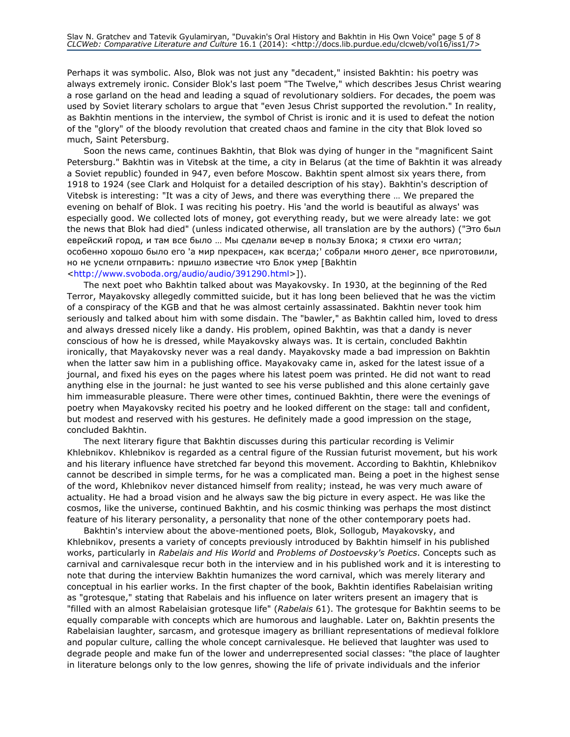Perhaps it was symbolic. Also, Blok was not just any "decadent," insisted Bakhtin: his poetry was always extremely ironic. Consider Blok's last poem "The Twelve," which describes Jesus Christ wearing a rose garland on the head and leading a squad of revolutionary soldiers. For decades, the poem was used by Soviet literary scholars to argue that "even Jesus Christ supported the revolution." In reality, as Bakhtin mentions in the interview, the symbol of Christ is ironic and it is used to defeat the notion of the "glory" of the bloody revolution that created chaos and famine in the city that Blok loved so much, Saint Petersburg.

Soon the news came, continues Bakhtin, that Blok was dying of hunger in the "magnificent Saint Petersburg." Bakhtin was in Vitebsk at the time, a city in Belarus (at the time of Bakhtin it was already a Soviet republic) founded in 947, even before Moscow. Bakhtin spent almost six years there, from 1918 to 1924 (see Clark and Holquist for a detailed description of his stay). Bakhtin's description of Vitebsk is interesting: "It was a city of Jews, and there was everything there … We prepared the evening on behalf of Blok. I was reciting his poetry. His 'and the world is beautiful as always' was especially good. We collected lots of money, got everything ready, but we were already late: we got the news that Blok had died" (unless indicated otherwise, all translation are by the authors) ("Это был еврейский город, и там все было … Мы сделали вечер в пользу Блока; я стихи его читал; особенно хорошо было его 'а мир прекрасен, как всегда;' собрали много денег, все приготовили, но не успели отправить: пришло известие что Блок умер [Bakhtin <http://www.svoboda.org/audio/audio/391290.html>]).

The next poet who Bakhtin talked about was Mayakovsky. In 1930, at the beginning of the Red Terror, Mayakovsky allegedly committed suicide, but it has long been believed that he was the victim of a conspiracy of the KGB and that he was almost certainly assassinated. Bakhtin never took him seriously and talked about him with some disdain. The "bawler," as Bakhtin called him, loved to dress and always dressed nicely like a dandy. His problem, opined Bakhtin, was that a dandy is never conscious of how he is dressed, while Mayakovsky always was. It is certain, concluded Bakhtin ironically, that Mayakovsky never was a real dandy. Mayakovsky made a bad impression on Bakhtin when the latter saw him in a publishing office. Mayakovaky came in, asked for the latest issue of a journal, and fixed his eyes on the pages where his latest poem was printed. He did not want to read anything else in the journal: he just wanted to see his verse published and this alone certainly gave him immeasurable pleasure. There were other times, continued Bakhtin, there were the evenings of poetry when Mayakovsky recited his poetry and he looked different on the stage: tall and confident, but modest and reserved with his gestures. He definitely made a good impression on the stage, concluded Bakhtin.

The next literary figure that Bakhtin discusses during this particular recording is Velimir Khlebnikov. Khlebnikov is regarded as a central figure of the Russian futurist movement, but his work and his literary influence have stretched far beyond this movement. According to Bakhtin, Khlebnikov cannot be described in simple terms, for he was a complicated man. Being a poet in the highest sense of the word, Khlebnikov never distanced himself from reality; instead, he was very much aware of actuality. He had a broad vision and he always saw the big picture in every aspect. He was like the cosmos, like the universe, continued Bakhtin, and his cosmic thinking was perhaps the most distinct feature of his literary personality, a personality that none of the other contemporary poets had.

Bakhtin's interview about the above-mentioned poets, Blok, Sollogub, Mayakovsky, and Khlebnikov, presents a variety of concepts previously introduced by Bakhtin himself in his published works, particularly in Rabelais and His World and Problems of Dostoevsky's Poetics. Concepts such as carnival and carnivalesque recur both in the interview and in his published work and it is interesting to note that during the interview Bakhtin humanizes the word carnival, which was merely literary and conceptual in his earlier works. In the first chapter of the book, Bakhtin identifies Rabelaisian writing as "grotesque," stating that Rabelais and his influence on later writers present an imagery that is "filled with an almost Rabelaisian grotesque life" (Rabelais 61). The grotesque for Bakhtin seems to be equally comparable with concepts which are humorous and laughable. Later on, Bakhtin presents the Rabelaisian laughter, sarcasm, and grotesque imagery as brilliant representations of medieval folklore and popular culture, calling the whole concept carnivalesque. He believed that laughter was used to degrade people and make fun of the lower and underrepresented social classes: "the place of laughter in literature belongs only to the low genres, showing the life of private individuals and the inferior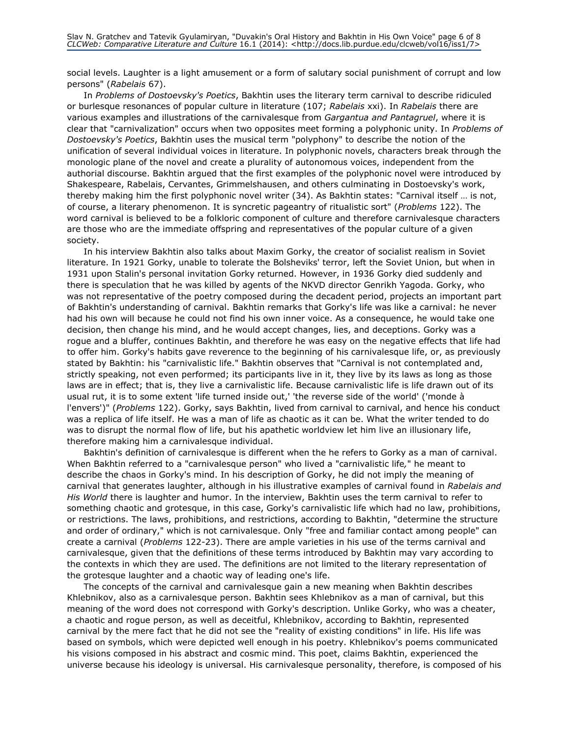social levels. Laughter is a light amusement or a form of salutary social punishment of corrupt and low persons" (Rabelais 67).

In Problems of Dostoevsky's Poetics, Bakhtin uses the literary term carnival to describe ridiculed or burlesque resonances of popular culture in literature (107; Rabelais xxi). In Rabelais there are various examples and illustrations of the carnivalesque from Gargantua and Pantagruel, where it is clear that "carnivalization" occurs when two opposites meet forming a polyphonic unity. In Problems of Dostoevsky's Poetics, Bakhtin uses the musical term "polyphony" to describe the notion of the unification of several individual voices in literature. In polyphonic novels, characters break through the monologic plane of the novel and create a plurality of autonomous voices, independent from the authorial discourse. Bakhtin argued that the first examples of the polyphonic novel were introduced by Shakespeare, Rabelais, Cervantes, Grimmelshausen, and others culminating in Dostoevsky's work, thereby making him the first polyphonic novel writer (34). As Bakhtin states: "Carnival itself … is not, of course, a literary phenomenon. It is syncretic pageantry of ritualistic sort" (Problems 122). The word carnival is believed to be a folkloric component of culture and therefore carnivalesque characters are those who are the immediate offspring and representatives of the popular culture of a given society.

In his interview Bakhtin also talks about Maxim Gorky, the creator of socialist realism in Soviet literature. In 1921 Gorky, unable to tolerate the Bolsheviks' terror, left the Soviet Union, but when in 1931 upon Stalin's personal invitation Gorky returned. However, in 1936 Gorky died suddenly and there is speculation that he was killed by agents of the NKVD director Genrikh Yagoda. Gorky, who was not representative of the poetry composed during the decadent period, projects an important part of Bakhtin's understanding of carnival. Bakhtin remarks that Gorky's life was like a carnival: he never had his own will because he could not find his own inner voice. As a consequence, he would take one decision, then change his mind, and he would accept changes, lies, and deceptions. Gorky was a rogue and a bluffer, continues Bakhtin, and therefore he was easy on the negative effects that life had to offer him. Gorky's habits gave reverence to the beginning of his carnivalesque life, or, as previously stated by Bakhtin: his "carnivalistic life." Bakhtin observes that "Carnival is not contemplated and, strictly speaking, not even performed; its participants live in it, they live by its laws as long as those laws are in effect; that is, they live a carnivalistic life. Because carnivalistic life is life drawn out of its usual rut, it is to some extent 'life turned inside out,' 'the reverse side of the world' ('monde à l'envers')" (Problems 122). Gorky, says Bakhtin, lived from carnival to carnival, and hence his conduct was a replica of life itself. He was a man of life as chaotic as it can be. What the writer tended to do was to disrupt the normal flow of life, but his apathetic worldview let him live an illusionary life, therefore making him a carnivalesque individual.

Bakhtin's definition of carnivalesque is different when the he refers to Gorky as a man of carnival. When Bakhtin referred to a "carnivalesque person" who lived a "carnivalistic life," he meant to describe the chaos in Gorky's mind. In his description of Gorky, he did not imply the meaning of carnival that generates laughter, although in his illustrative examples of carnival found in Rabelais and His World there is laughter and humor. In the interview, Bakhtin uses the term carnival to refer to something chaotic and grotesque, in this case, Gorky's carnivalistic life which had no law, prohibitions, or restrictions. The laws, prohibitions, and restrictions, according to Bakhtin, "determine the structure and order of ordinary," which is not carnivalesque. Only "free and familiar contact among people" can create a carnival (Problems 122-23). There are ample varieties in his use of the terms carnival and carnivalesque, given that the definitions of these terms introduced by Bakhtin may vary according to the contexts in which they are used. The definitions are not limited to the literary representation of the grotesque laughter and a chaotic way of leading one's life.

The concepts of the carnival and carnivalesque gain a new meaning when Bakhtin describes Khlebnikov, also as a carnivalesque person. Bakhtin sees Khlebnikov as a man of carnival, but this meaning of the word does not correspond with Gorky's description. Unlike Gorky, who was a cheater, a chaotic and rogue person, as well as deceitful, Khlebnikov, according to Bakhtin, represented carnival by the mere fact that he did not see the "reality of existing conditions" in life. His life was based on symbols, which were depicted well enough in his poetry. Khlebnikov's poems communicated his visions composed in his abstract and cosmic mind. This poet, claims Bakhtin, experienced the universe because his ideology is universal. His carnivalesque personality, therefore, is composed of his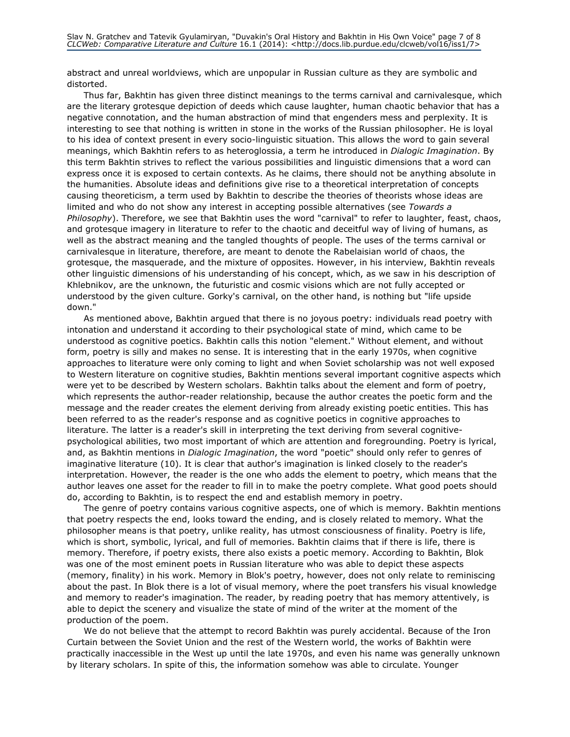abstract and unreal worldviews, which are unpopular in Russian culture as they are symbolic and distorted.

Thus far, Bakhtin has given three distinct meanings to the terms carnival and carnivalesque, which are the literary grotesque depiction of deeds which cause laughter, human chaotic behavior that has a negative connotation, and the human abstraction of mind that engenders mess and perplexity. It is interesting to see that nothing is written in stone in the works of the Russian philosopher. He is loyal to his idea of context present in every socio-linguistic situation. This allows the word to gain several meanings, which Bakhtin refers to as heteroglossia, a term he introduced in Dialogic Imagination. By this term Bakhtin strives to reflect the various possibilities and linguistic dimensions that a word can express once it is exposed to certain contexts. As he claims, there should not be anything absolute in the humanities. Absolute ideas and definitions give rise to a theoretical interpretation of concepts causing theoreticism, a term used by Bakhtin to describe the theories of theorists whose ideas are limited and who do not show any interest in accepting possible alternatives (see Towards a Philosophy). Therefore, we see that Bakhtin uses the word "carnival" to refer to laughter, feast, chaos, and grotesque imagery in literature to refer to the chaotic and deceitful way of living of humans, as well as the abstract meaning and the tangled thoughts of people. The uses of the terms carnival or carnivalesque in literature, therefore, are meant to denote the Rabelaisian world of chaos, the grotesque, the masquerade, and the mixture of opposites. However, in his interview, Bakhtin reveals other linguistic dimensions of his understanding of his concept, which, as we saw in his description of Khlebnikov, are the unknown, the futuristic and cosmic visions which are not fully accepted or understood by the given culture. Gorky's carnival, on the other hand, is nothing but "life upside down."

As mentioned above, Bakhtin argued that there is no joyous poetry: individuals read poetry with intonation and understand it according to their psychological state of mind, which came to be understood as cognitive poetics. Bakhtin calls this notion "element." Without element, and without form, poetry is silly and makes no sense. It is interesting that in the early 1970s, when cognitive approaches to literature were only coming to light and when Soviet scholarship was not well exposed to Western literature on cognitive studies, Bakhtin mentions several important cognitive aspects which were yet to be described by Western scholars. Bakhtin talks about the element and form of poetry, which represents the author-reader relationship, because the author creates the poetic form and the message and the reader creates the element deriving from already existing poetic entities. This has been referred to as the reader's response and as cognitive poetics in cognitive approaches to literature. The latter is a reader's skill in interpreting the text deriving from several cognitivepsychological abilities, two most important of which are attention and foregrounding. Poetry is lyrical, and, as Bakhtin mentions in Dialogic Imagination, the word "poetic" should only refer to genres of imaginative literature (10). It is clear that author's imagination is linked closely to the reader's interpretation. However, the reader is the one who adds the element to poetry, which means that the author leaves one asset for the reader to fill in to make the poetry complete. What good poets should do, according to Bakhtin, is to respect the end and establish memory in poetry.

The genre of poetry contains various cognitive aspects, one of which is memory. Bakhtin mentions that poetry respects the end, looks toward the ending, and is closely related to memory. What the philosopher means is that poetry, unlike reality, has utmost consciousness of finality. Poetry is life, which is short, symbolic, lyrical, and full of memories. Bakhtin claims that if there is life, there is memory. Therefore, if poetry exists, there also exists a poetic memory. According to Bakhtin, Blok was one of the most eminent poets in Russian literature who was able to depict these aspects (memory, finality) in his work. Memory in Blok's poetry, however, does not only relate to reminiscing about the past. In Blok there is a lot of visual memory, where the poet transfers his visual knowledge and memory to reader's imagination. The reader, by reading poetry that has memory attentively, is able to depict the scenery and visualize the state of mind of the writer at the moment of the production of the poem.

We do not believe that the attempt to record Bakhtin was purely accidental. Because of the Iron Curtain between the Soviet Union and the rest of the Western world, the works of Bakhtin were practically inaccessible in the West up until the late 1970s, and even his name was generally unknown by literary scholars. In spite of this, the information somehow was able to circulate. Younger